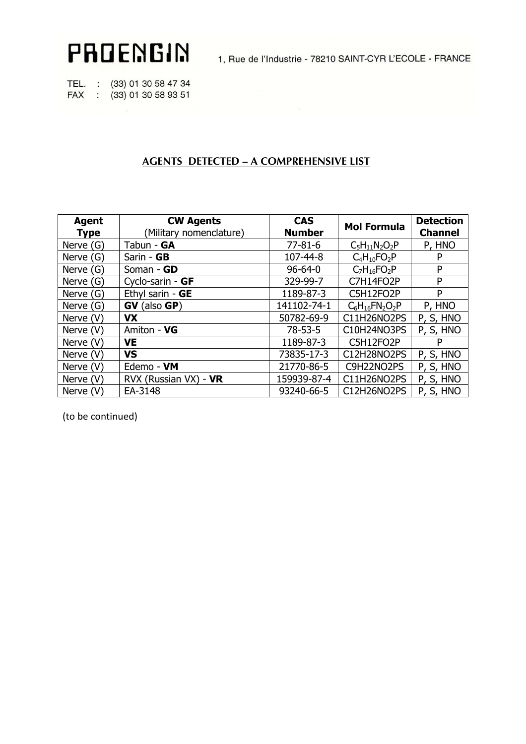PROENGIN

1, Rue de l'Industrie - 78210 SAINT-CYR L'ECOLE - FRANCE

TEL. : (33) 01 30 58 47 34 FAX : (33) 01 30 58 93 51

## **AGENTS DETECTED - A COMPREHENSIVE LIST**

| <b>Agent</b><br><b>Type</b> | <b>CW Agents</b><br>(Military nomenclature) | <b>CAS</b><br><b>Number</b> | <b>Mol Formula</b>  | <b>Detection</b><br><b>Channel</b> |
|-----------------------------|---------------------------------------------|-----------------------------|---------------------|------------------------------------|
| Nerve $(G)$                 | Tabun - GA                                  | $77 - 81 - 6$               | $C_5H_{11}N_2O_2P$  | P, HNO                             |
| Nerve $(G)$                 | Sarin - GB                                  | 107-44-8                    | $C_4H_{10}FO_2P$    | P                                  |
| Nerve $(G)$                 | Soman - GD                                  | $96 - 64 - 0$               | $C_7H_{16}FO_2P$    | P                                  |
| Nerve $(G)$                 | Cyclo-sarin - GF                            | 329-99-7                    | C7H14FO2P           | P                                  |
| Nerve $(G)$                 | Ethyl sarin - GE                            | 1189-87-3                   | C5H12FO2P           | P                                  |
| Nerve $(G)$                 | GV<br>$(also$ GP)                           | 141102-74-1                 | $C_6H_{16}FN_2O_2P$ | P, HNO                             |
| Nerve (V)                   | <b>VX</b>                                   | 50782-69-9                  | C11H26NO2PS         | P, S, HNO                          |
| Nerve (V)                   | Amiton - VG                                 | $78 - 53 - 5$               | C10H24NO3PS         | P, S, HNO                          |
| Nerve (V)                   | <b>VE</b>                                   | 1189-87-3                   | C5H12FO2P           | P                                  |
| Nerve (V)                   | <b>VS</b>                                   | 73835-17-3                  | C12H28NO2PS         | P, S, HNO                          |
| Nerve $(V)$                 | Edemo - VM                                  | 21770-86-5                  | C9H22NO2PS          | P, S, HNO                          |
| Nerve (V)                   | RVX (Russian VX) - VR                       | 159939-87-4                 | C11H26NO2PS         | P, S, HNO                          |
| Nerve (V)                   | EA-3148                                     | 93240-66-5                  | C12H26NO2PS         | P, S, HNO                          |

(to be continued)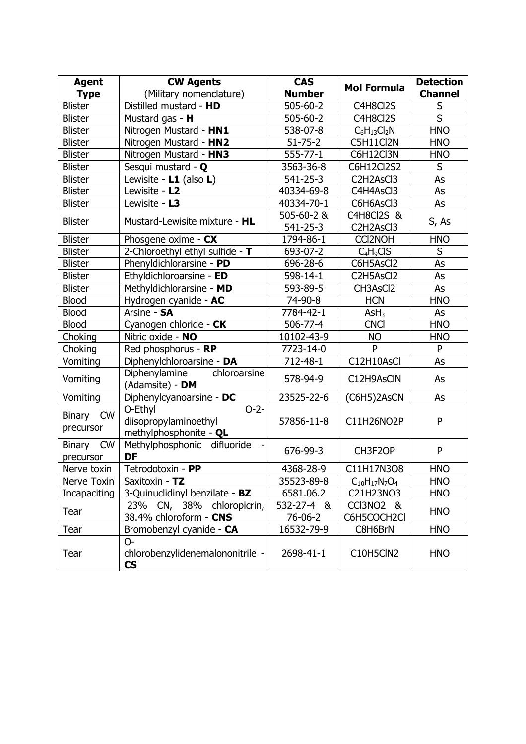| <b>Agent</b>                            | <b>CW Agents</b>                                                     | <b>CAS</b>            | <b>Mol Formula</b>                   | <b>Detection</b>        |  |
|-----------------------------------------|----------------------------------------------------------------------|-----------------------|--------------------------------------|-------------------------|--|
| <b>Type</b>                             | (Military nomenclature)                                              | <b>Number</b>         |                                      | <b>Channel</b>          |  |
| <b>Blister</b>                          | Distilled mustard - HD                                               | $505 - 60 - 2$        | C4H8Cl2S                             | S                       |  |
| <b>Blister</b>                          | Mustard gas - H                                                      | 505-60-2              | C4H8Cl2S                             | $\overline{\mathsf{S}}$ |  |
| <b>Blister</b>                          | Nitrogen Mustard - HN1                                               | 538-07-8              | $C_6H_{13}Cl_2N$                     | <b>HNO</b>              |  |
| <b>Blister</b>                          | Nitrogen Mustard - HN2                                               | $51 - 75 - 2$         | C5H11Cl2N                            | <b>HNO</b>              |  |
| <b>Blister</b>                          | Nitrogen Mustard - HN3                                               | $555 - 77 - 1$        | C6H12Cl3N                            | <b>HNO</b>              |  |
| <b>Blister</b>                          | Sesqui mustard - Q                                                   | 3563-36-8             | C6H12Cl2S2                           | S                       |  |
| <b>Blister</b>                          | Lewisite - L1 (also L)                                               | $541 - 25 - 3$        | C2H2AsCl3                            | As                      |  |
| <b>Blister</b>                          | Lewisite - L2                                                        | 40334-69-8            | C4H4AsCl3                            | As                      |  |
| <b>Blister</b>                          | Lewisite - L3                                                        | 40334-70-1            | C6H6AsCl3                            | As                      |  |
|                                         |                                                                      | 505-60-2 &            | C4H8Cl2S &                           | S, As                   |  |
| <b>Blister</b>                          | Mustard-Lewisite mixture - HL                                        | $541 - 25 - 3$        | C2H2AsCl3                            |                         |  |
| <b>Blister</b>                          | Phosgene oxime - CX                                                  | 1794-86-1             | <b>CCI2NOH</b>                       | <b>HNO</b>              |  |
| <b>Blister</b>                          | 2-Chloroethyl ethyl sulfide - T                                      | 693-07-2              | $C_4H_9CIS$                          | S                       |  |
| <b>Blister</b>                          | Phenyldichlorarsine - PD                                             | 696-28-6              | C6H5AsCl2                            | As                      |  |
| <b>Blister</b>                          | Ethyldichloroarsine - ED                                             | 598-14-1              | C2H5AsCl2                            | As                      |  |
| <b>Blister</b>                          | Methyldichlorarsine - MD                                             | 593-89-5              | CH3AsCl2                             | As                      |  |
| <b>Blood</b>                            | Hydrogen cyanide - AC                                                | 74-90-8               | <b>HCN</b>                           | <b>HNO</b>              |  |
| <b>Blood</b>                            | Arsine - SA                                                          | 7784-42-1             | AsH <sub>3</sub>                     | As                      |  |
| <b>Blood</b>                            | Cyanogen chloride - CK                                               | 506-77-4              | <b>CNCI</b>                          | <b>HNO</b>              |  |
| Choking                                 | Nitric oxide - NO                                                    | 10102-43-9            | <b>NO</b>                            | <b>HNO</b>              |  |
| Choking                                 | Red phosphorus - RP                                                  | 7723-14-0             | P                                    | P                       |  |
| Vomiting                                | Diphenylchloroarsine - DA                                            | 712-48-1              | C12H10AsCl                           | As                      |  |
| Vomiting                                | Diphenylamine<br>chloroarsine<br>(Adamsite) - DM                     | 578-94-9              | C12H9AsCIN                           | As                      |  |
| Vomiting                                | Diphenylcyanoarsine - DC                                             | 23525-22-6            | (C6H5)2AsCN                          | As                      |  |
| <b>CW</b><br><b>Binary</b><br>precursor | O-Ethyl<br>$O-2-$<br>diisopropylaminoethyl<br>methylphosphonite - QL | 57856-11-8            | C11H26NO2P                           | P                       |  |
| <b>Binary</b><br><b>CW</b><br>precursor | difluoride<br>Methylphosphonic<br>DF                                 | 676-99-3              | CH3F2OP                              | P                       |  |
| Nerve toxin                             | Tetrodotoxin - PP                                                    | 4368-28-9             | C11H17N3O8                           | <b>HNO</b>              |  |
| Nerve Toxin                             | Saxitoxin - TZ                                                       | 35523-89-8            | $C_{10}H_{17}N_7O_4$                 | <b>HNO</b>              |  |
| Incapaciting                            | 3-Quinuclidinyl benzilate - BZ                                       | 6581.06.2             | C21H23NO3                            | <b>HNO</b>              |  |
| Tear                                    | 23% CN, 38% chloropicrin,<br>38.4% chloroform - CNS                  | 532-27-4 &<br>76-06-2 | CCI3NO <sub>2</sub> &<br>C6H5COCH2Cl | <b>HNO</b>              |  |
| Tear                                    | Bromobenzyl cyanide - CA                                             | 16532-79-9            | C8H6BrN                              | <b>HNO</b>              |  |
| Tear                                    | $O-$<br>chlorobenzylidenemalononitrile -<br><b>CS</b>                | 2698-41-1             | C10H5ClN2                            | <b>HNO</b>              |  |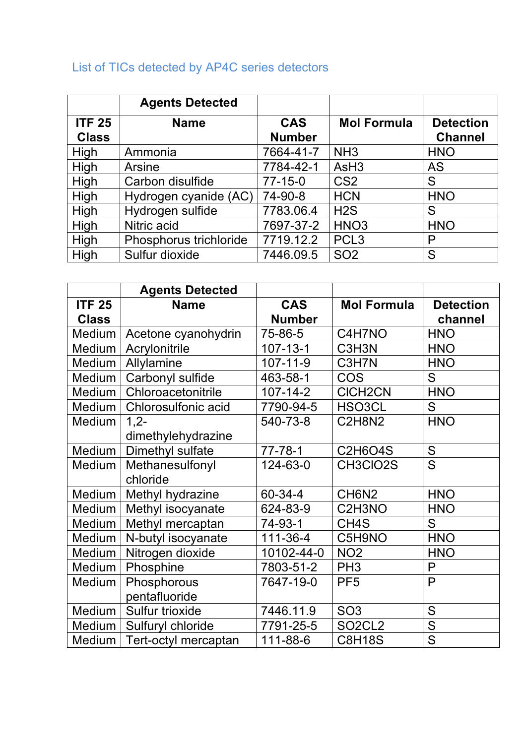## List of TICs detected by AP4C series detectors

|                               | <b>Agents Detected</b> |                             |                    |                                    |
|-------------------------------|------------------------|-----------------------------|--------------------|------------------------------------|
| <b>ITF 25</b><br><b>Class</b> | <b>Name</b>            | <b>CAS</b><br><b>Number</b> | <b>Mol Formula</b> | <b>Detection</b><br><b>Channel</b> |
| High                          | Ammonia                | 7664-41-7                   | NH <sub>3</sub>    | <b>HNO</b>                         |
| High                          | Arsine                 | 7784-42-1                   | AsH <sub>3</sub>   | <b>AS</b>                          |
| High                          | Carbon disulfide       | $77 - 15 - 0$               | CS <sub>2</sub>    | S                                  |
| High                          | Hydrogen cyanide (AC)  | 74-90-8                     | <b>HCN</b>         | <b>HNO</b>                         |
| High                          | Hydrogen sulfide       | 7783.06.4                   | H2S                | S                                  |
| High                          | Nitric acid            | 7697-37-2                   | HNO <sub>3</sub>   | <b>HNO</b>                         |
| High                          | Phosphorus trichloride | 7719.12.2                   | PCL <sub>3</sub>   | P                                  |
| High                          | Sulfur dioxide         | 7446.09.5                   | <b>SO2</b>         | S                                  |

|               | <b>Agents Detected</b> |                |                                              |                         |
|---------------|------------------------|----------------|----------------------------------------------|-------------------------|
| <b>ITF 25</b> | <b>Name</b>            | <b>CAS</b>     | <b>Mol Formula</b>                           | <b>Detection</b>        |
| <b>Class</b>  |                        | <b>Number</b>  |                                              | channel                 |
| Medium        | Acetone cyanohydrin    | 75-86-5        | C4H7NO                                       | <b>HNO</b>              |
| Medium        | Acrylonitrile          | $107 - 13 - 1$ | C3H3N                                        | <b>HNO</b>              |
| Medium        | Allylamine             | $107 - 11 - 9$ | C3H7N                                        | <b>HNO</b>              |
| Medium        | Carbonyl sulfide       | 463-58-1       | <b>COS</b>                                   | S                       |
| Medium        | Chloroacetonitrile     | $107 - 14 - 2$ | <b>CICH2CN</b>                               | <b>HNO</b>              |
| Medium        | Chlorosulfonic acid    | 7790-94-5      | HSO3CL                                       | S                       |
| Medium        | $1,2-$                 | 540-73-8       | <b>C2H8N2</b>                                | <b>HNO</b>              |
|               | dimethylehydrazine     |                |                                              |                         |
| Medium        | Dimethyl sulfate       | $77 - 78 - 1$  | <b>C2H6O4S</b>                               | S                       |
| Medium        | Methanesulfonyl        | 124-63-0       | CH3CIO2S                                     | $\overline{S}$          |
|               | chloride               |                |                                              |                         |
| Medium        | Methyl hydrazine       | 60-34-4        | CH6N2                                        | <b>HNO</b>              |
| Medium        | Methyl isocyanate      | 624-83-9       | C <sub>2</sub> H <sub>3</sub> N <sub>O</sub> | <b>HNO</b>              |
| Medium        | Methyl mercaptan       | 74-93-1        | CH <sub>4</sub> S                            | S                       |
| Medium        | N-butyl isocyanate     | 111-36-4       | C5H9NO                                       | <b>HNO</b>              |
| Medium        | Nitrogen dioxide       | 10102-44-0     | NO <sub>2</sub>                              | <b>HNO</b>              |
| Medium        | Phosphine              | 7803-51-2      | PH <sub>3</sub>                              | $\mathsf{P}$            |
| Medium        | Phosphorous            | 7647-19-0      | PF <sub>5</sub>                              | P                       |
|               | pentafluoride          |                |                                              |                         |
| Medium        | Sulfur trioxide        | 7446.11.9      | SO <sub>3</sub>                              | S                       |
| Medium        | Sulfuryl chloride      | 7791-25-5      | SO <sub>2</sub> CL <sub>2</sub>              | $\overline{S}$          |
| Medium        | Tert-octyl mercaptan   | 111-88-6       | <b>C8H18S</b>                                | $\overline{\mathsf{S}}$ |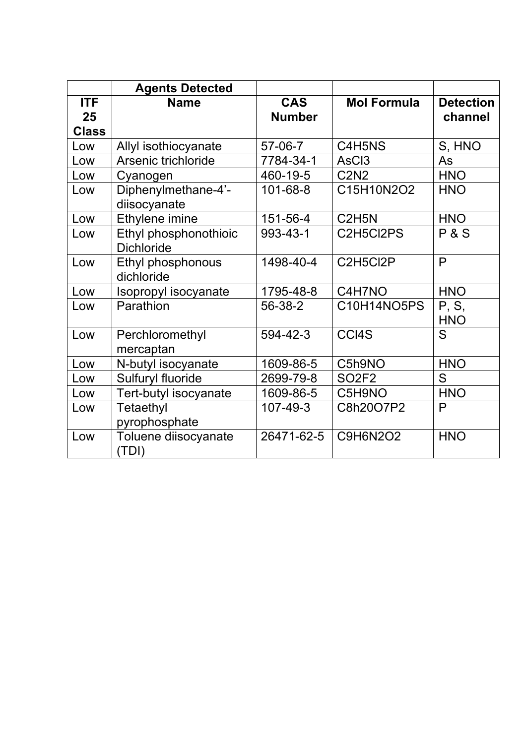|                  | <b>Agents Detected</b>                     |                             |                                |                             |
|------------------|--------------------------------------------|-----------------------------|--------------------------------|-----------------------------|
| <b>ITF</b><br>25 | <b>Name</b>                                | <b>CAS</b><br><b>Number</b> | <b>Mol Formula</b>             | <b>Detection</b><br>channel |
| <b>Class</b>     |                                            |                             |                                |                             |
| Low              | Allyl isothiocyanate                       | 57-06-7                     | C4H5NS                         | S, HNO                      |
| Low              | Arsenic trichloride                        | 7784-34-1                   | AsC <sub>3</sub>               | As                          |
| Low              | Cyanogen                                   | 460-19-5                    | <b>C2N2</b>                    | <b>HNO</b>                  |
| Low              | Diphenylmethane-4'-<br>diisocyanate        | $101 - 68 - 8$              | C15H10N2O2                     | <b>HNO</b>                  |
| Low              | Ethylene imine                             | 151-56-4                    | C <sub>2</sub> H <sub>5N</sub> | <b>HNO</b>                  |
| Low              | Ethyl phosphonothioic<br><b>Dichloride</b> | 993-43-1                    | C2H5Cl2PS                      | P & S                       |
| Low              | Ethyl phosphonous<br>dichloride            | 1498-40-4                   | C2H5Cl2P                       | P                           |
| Low              | Isopropyl isocyanate                       | 1795-48-8                   | C4H7NO                         | <b>HNO</b>                  |
| Low              | Parathion                                  | 56-38-2                     | C10H14NO5PS                    | P, S,<br><b>HNO</b>         |
| Low              | Perchloromethyl<br>mercaptan               | 594-42-3                    | CCI4S                          | S                           |
| Low              | N-butyl isocyanate                         | 1609-86-5                   | C5h9NO                         | <b>HNO</b>                  |
| Low              | Sulfuryl fluoride                          | 2699-79-8                   | <b>SO2F2</b>                   | S                           |
| Low              | Tert-butyl isocyanate                      | 1609-86-5                   | C5H9NO                         | <b>HNO</b>                  |
| Low              | Tetaethyl<br>pyrophosphate                 | 107-49-3                    | C8h20O7P2                      | $\mathsf{P}$                |
| Low              | Toluene diisocyanate<br>(TDI)              | 26471-62-5                  | <b>C9H6N2O2</b>                | <b>HNO</b>                  |